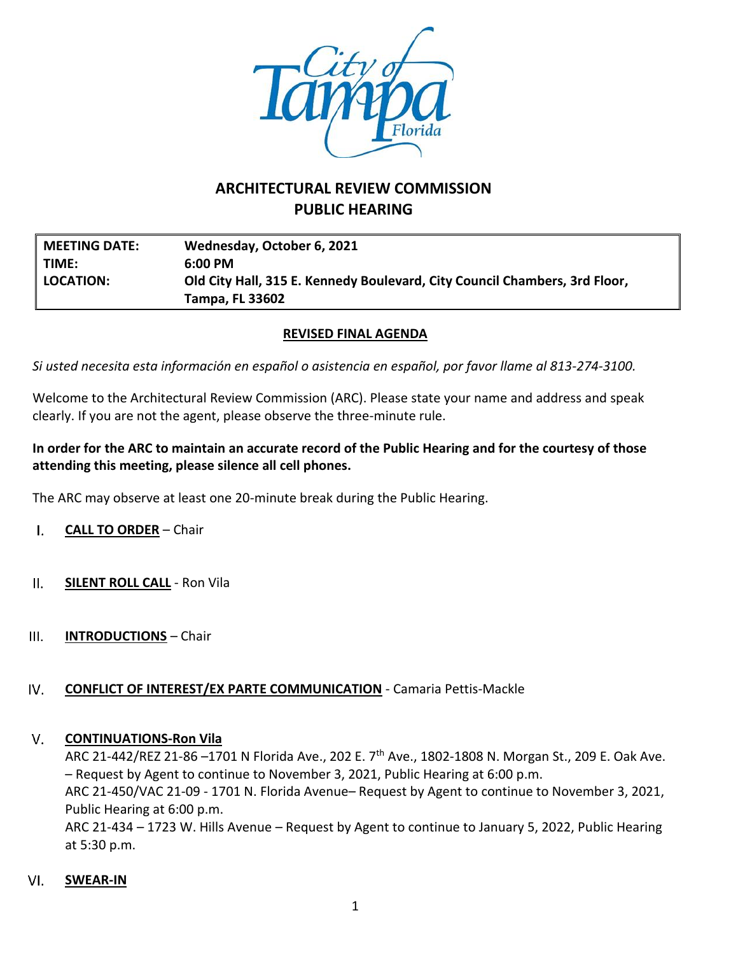

# **ARCHITECTURAL REVIEW COMMISSION PUBLIC HEARING**

| <b>MEETING DATE:</b> | Wednesday, October 6, 2021                                                 |  |
|----------------------|----------------------------------------------------------------------------|--|
| l TIME:              | $6:00 \text{ PM}$                                                          |  |
| LOCATION:            | Old City Hall, 315 E. Kennedy Boulevard, City Council Chambers, 3rd Floor, |  |
|                      | <b>Tampa, FL 33602</b>                                                     |  |

# **REVISED FINAL AGENDA**

*Si usted necesita esta información en español o asistencia en español, por favor llame al 813-274-3100.*

Welcome to the Architectural Review Commission (ARC). Please state your name and address and speak clearly. If you are not the agent, please observe the three-minute rule.

# **In order for the ARC to maintain an accurate record of the Public Hearing and for the courtesy of those attending this meeting, please silence all cell phones.**

The ARC may observe at least one 20-minute break during the Public Hearing.

- $\mathsf{L}$ **CALL TO ORDER** – Chair
- $II.$ **SILENT ROLL CALL** - Ron Vila
- $III.$ **INTRODUCTIONS** – Chair

### IV. **CONFLICT OF INTEREST/EX PARTE COMMUNICATION** - Camaria Pettis-Mackle

#### V. **CONTINUATIONS-Ron Vila**

ARC 21-442/REZ 21-86-1701 N Florida Ave., 202 E. 7<sup>th</sup> Ave., 1802-1808 N. Morgan St., 209 E. Oak Ave. – Request by Agent to continue to November 3, 2021, Public Hearing at 6:00 p.m.

ARC 21-450/VAC 21-09 - 1701 N. Florida Avenue– Request by Agent to continue to November 3, 2021, Public Hearing at 6:00 p.m.

ARC 21-434 – 1723 W. Hills Avenue – Request by Agent to continue to January 5, 2022, Public Hearing at 5:30 p.m.

### VI. **SWEAR-IN**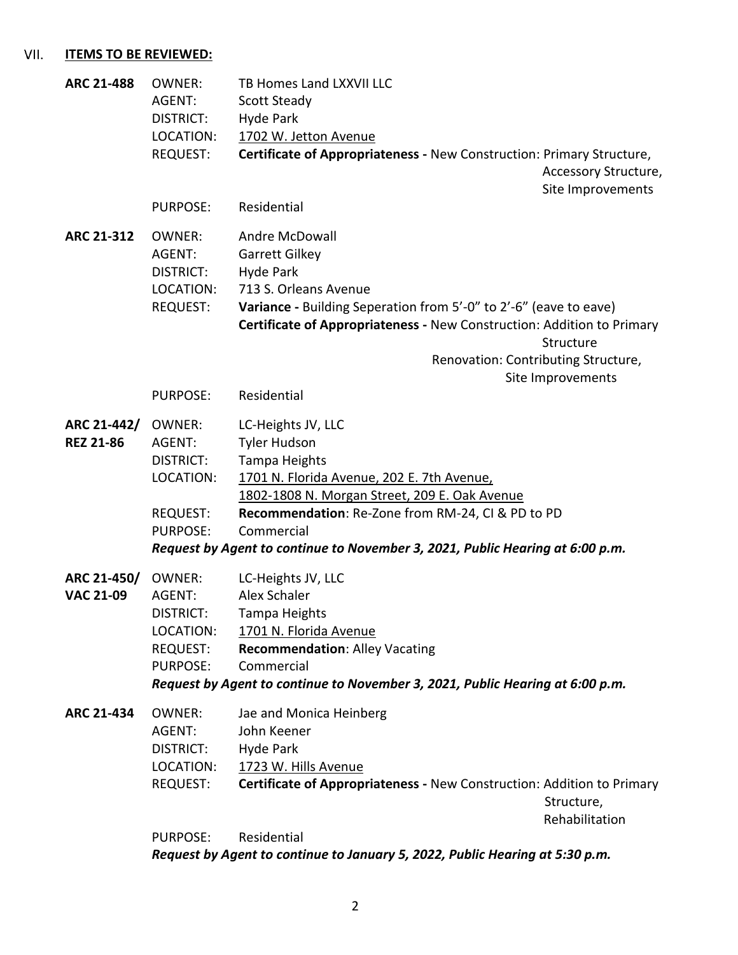# VII. **ITEMS TO BE REVIEWED:**

| <b>ARC 21-488</b> | <b>OWNER:</b><br>AGENT:      | TB Homes Land LXXVII LLC<br><b>Scott Steady</b>                                                |
|-------------------|------------------------------|------------------------------------------------------------------------------------------------|
|                   | DISTRICT:                    | Hyde Park                                                                                      |
|                   | LOCATION:<br><b>REQUEST:</b> | 1702 W. Jetton Avenue<br>Certificate of Appropriateness - New Construction: Primary Structure, |
|                   |                              | Accessory Structure,                                                                           |
|                   |                              | Site Improvements                                                                              |
|                   | <b>PURPOSE:</b>              | Residential                                                                                    |
|                   |                              |                                                                                                |
| ARC 21-312        | <b>OWNER:</b>                | Andre McDowall                                                                                 |
|                   | AGENT:                       | Garrett Gilkey                                                                                 |
|                   | <b>DISTRICT:</b>             | Hyde Park                                                                                      |
|                   | LOCATION:                    | 713 S. Orleans Avenue                                                                          |
|                   | <b>REQUEST:</b>              | Variance - Building Seperation from 5'-0" to 2'-6" (eave to eave)                              |
|                   |                              | Certificate of Appropriateness - New Construction: Addition to Primary                         |
|                   |                              | Structure                                                                                      |
|                   |                              | Renovation: Contributing Structure,<br>Site Improvements                                       |
|                   | <b>PURPOSE:</b>              | Residential                                                                                    |
|                   |                              |                                                                                                |
| ARC 21-442/       | <b>OWNER:</b>                | LC-Heights JV, LLC                                                                             |
| <b>REZ 21-86</b>  | AGENT:                       | <b>Tyler Hudson</b>                                                                            |
|                   | DISTRICT:                    | Tampa Heights                                                                                  |
|                   | LOCATION:                    | 1701 N. Florida Avenue, 202 E. 7th Avenue,                                                     |
|                   |                              | 1802-1808 N. Morgan Street, 209 E. Oak Avenue                                                  |
|                   | <b>REQUEST:</b>              | Recommendation: Re-Zone from RM-24, CI & PD to PD                                              |
|                   | <b>PURPOSE:</b>              | Commercial                                                                                     |
|                   |                              | Request by Agent to continue to November 3, 2021, Public Hearing at 6:00 p.m.                  |
| ARC 21-450/       | OWNER:                       | LC-Heights JV, LLC                                                                             |
| <b>VAC 21-09</b>  | AGENT:                       | Alex Schaler                                                                                   |
|                   | DISTRICT:                    | Tampa Heights                                                                                  |
|                   | LOCATION:                    | 1701 N. Florida Avenue                                                                         |
|                   | <b>REQUEST:</b>              | <b>Recommendation: Alley Vacating</b>                                                          |
|                   | <b>PURPOSE:</b>              | Commercial                                                                                     |
|                   |                              | Request by Agent to continue to November 3, 2021, Public Hearing at 6:00 p.m.                  |
| ARC 21-434        | <b>OWNER:</b>                | Jae and Monica Heinberg                                                                        |
|                   | AGENT:                       | John Keener                                                                                    |
|                   | DISTRICT:                    | Hyde Park                                                                                      |
|                   | LOCATION:                    | 1723 W. Hills Avenue                                                                           |
|                   | <b>REQUEST:</b>              | Certificate of Appropriateness - New Construction: Addition to Primary                         |
|                   |                              | Structure,                                                                                     |
|                   |                              | Rehabilitation                                                                                 |
|                   | <b>PURPOSE:</b>              | Residential                                                                                    |
|                   |                              | Request by Agent to continue to January 5, 2022, Public Hearing at 5:30 p.m.                   |